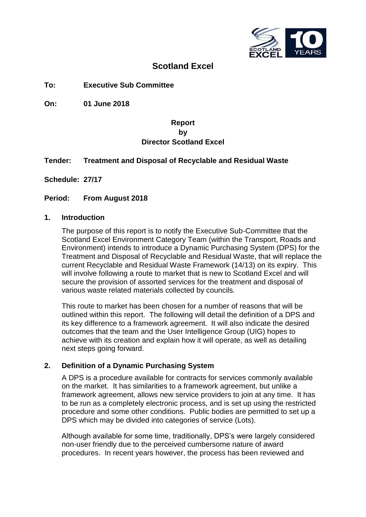

# **Scotland Excel**

**To: Executive Sub Committee**

**On: 01 June 2018**

# **Report by Director Scotland Excel**

### **Tender: Treatment and Disposal of Recyclable and Residual Waste**

**Schedule: 27/17**

#### **Period: From August 2018**

#### **1. Introduction**

The purpose of this report is to notify the Executive Sub-Committee that the Scotland Excel Environment Category Team (within the Transport, Roads and Environment) intends to introduce a Dynamic Purchasing System (DPS) for the Treatment and Disposal of Recyclable and Residual Waste, that will replace the current Recyclable and Residual Waste Framework (14/13) on its expiry. This will involve following a route to market that is new to Scotland Excel and will secure the provision of assorted services for the treatment and disposal of various waste related materials collected by councils.

This route to market has been chosen for a number of reasons that will be outlined within this report. The following will detail the definition of a DPS and its key difference to a framework agreement. It will also indicate the desired outcomes that the team and the User Intelligence Group (UIG) hopes to achieve with its creation and explain how it will operate, as well as detailing next steps going forward.

#### **2. Definition of a Dynamic Purchasing System**

A DPS is a procedure available for contracts for services commonly available on the market. It has similarities to a framework agreement, but unlike a framework agreement, allows new service providers to join at any time. It has to be run as a completely electronic process, and is set up using the restricted procedure and some other conditions. Public bodies are permitted to set up a DPS which may be divided into categories of service (Lots).

Although available for some time, traditionally, DPS's were largely considered non-user friendly due to the perceived cumbersome nature of award procedures. In recent years however, the process has been reviewed and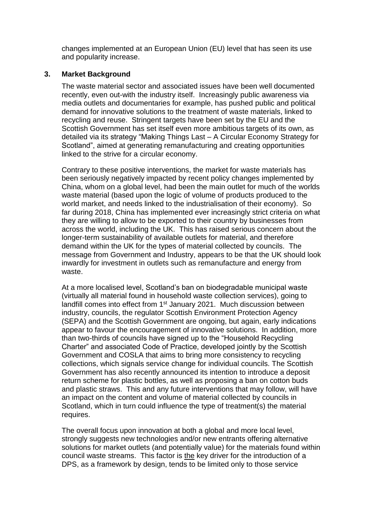changes implemented at an European Union (EU) level that has seen its use and popularity increase.

### **3. Market Background**

The waste material sector and associated issues have been well documented recently, even out-with the industry itself. Increasingly public awareness via media outlets and documentaries for example, has pushed public and political demand for innovative solutions to the treatment of waste materials, linked to recycling and reuse. Stringent targets have been set by the EU and the Scottish Government has set itself even more ambitious targets of its own, as detailed via its strategy "Making Things Last – A Circular Economy Strategy for Scotland", aimed at generating remanufacturing and creating opportunities linked to the strive for a circular economy.

Contrary to these positive interventions, the market for waste materials has been seriously negatively impacted by recent policy changes implemented by China, whom on a global level, had been the main outlet for much of the worlds waste material (based upon the logic of volume of products produced to the world market, and needs linked to the industrialisation of their economy). So far during 2018, China has implemented ever increasingly strict criteria on what they are willing to allow to be exported to their country by businesses from across the world, including the UK. This has raised serious concern about the longer-term sustainability of available outlets for material, and therefore demand within the UK for the types of material collected by councils. The message from Government and Industry, appears to be that the UK should look inwardly for investment in outlets such as remanufacture and energy from waste.

At a more localised level, Scotland's ban on biodegradable municipal waste (virtually all material found in household waste collection services), going to landfill comes into effect from 1<sup>st</sup> January 2021. Much discussion between industry, councils, the regulator Scottish Environment Protection Agency (SEPA) and the Scottish Government are ongoing, but again, early indications appear to favour the encouragement of innovative solutions. In addition, more than two-thirds of councils have signed up to the "Household Recycling Charter" and associated Code of Practice, developed jointly by the Scottish Government and COSLA that aims to bring more consistency to recycling collections, which signals service change for individual councils. The Scottish Government has also recently announced its intention to introduce a deposit return scheme for plastic bottles, as well as proposing a ban on cotton buds and plastic straws. This and any future interventions that may follow, will have an impact on the content and volume of material collected by councils in Scotland, which in turn could influence the type of treatment(s) the material requires.

The overall focus upon innovation at both a global and more local level, strongly suggests new technologies and/or new entrants offering alternative solutions for market outlets (and potentially value) for the materials found within council waste streams. This factor is the key driver for the introduction of a DPS, as a framework by design, tends to be limited only to those service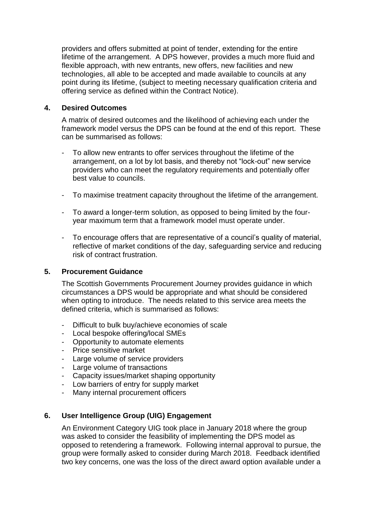providers and offers submitted at point of tender, extending for the entire lifetime of the arrangement. A DPS however, provides a much more fluid and flexible approach, with new entrants, new offers, new facilities and new technologies, all able to be accepted and made available to councils at any point during its lifetime, (subject to meeting necessary qualification criteria and offering service as defined within the Contract Notice).

#### **4. Desired Outcomes**

A matrix of desired outcomes and the likelihood of achieving each under the framework model versus the DPS can be found at the end of this report. These can be summarised as follows:

- To allow new entrants to offer services throughout the lifetime of the arrangement, on a lot by lot basis, and thereby not "lock-out" new service providers who can meet the regulatory requirements and potentially offer best value to councils.
- To maximise treatment capacity throughout the lifetime of the arrangement.
- To award a longer-term solution, as opposed to being limited by the fouryear maximum term that a framework model must operate under.
- To encourage offers that are representative of a council's quality of material, reflective of market conditions of the day, safeguarding service and reducing risk of contract frustration.

#### **5. Procurement Guidance**

The Scottish Governments Procurement Journey provides guidance in which circumstances a DPS would be appropriate and what should be considered when opting to introduce. The needs related to this service area meets the defined criteria, which is summarised as follows:

- Difficult to bulk buy/achieve economies of scale
- Local bespoke offering/local SMEs
- Opportunity to automate elements
- Price sensitive market
- Large volume of service providers
- Large volume of transactions
- Capacity issues/market shaping opportunity
- Low barriers of entry for supply market
- Many internal procurement officers

# **6. User Intelligence Group (UIG) Engagement**

An Environment Category UIG took place in January 2018 where the group was asked to consider the feasibility of implementing the DPS model as opposed to retendering a framework. Following internal approval to pursue, the group were formally asked to consider during March 2018. Feedback identified two key concerns, one was the loss of the direct award option available under a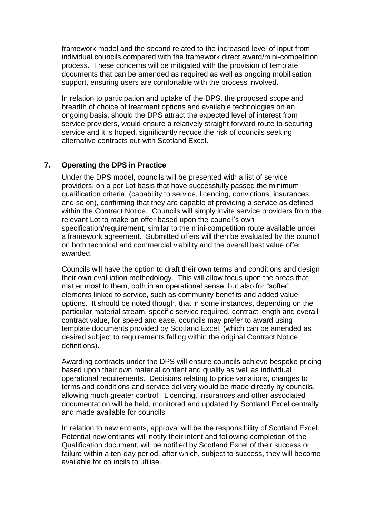framework model and the second related to the increased level of input from individual councils compared with the framework direct award/mini-competition process. These concerns will be mitigated with the provision of template documents that can be amended as required as well as ongoing mobilisation support, ensuring users are comfortable with the process involved.

In relation to participation and uptake of the DPS, the proposed scope and breadth of choice of treatment options and available technologies on an ongoing basis, should the DPS attract the expected level of interest from service providers, would ensure a relatively straight forward route to securing service and it is hoped, significantly reduce the risk of councils seeking alternative contracts out-with Scotland Excel.

### **7. Operating the DPS in Practice**

Under the DPS model, councils will be presented with a list of service providers, on a per Lot basis that have successfully passed the minimum qualification criteria, (capability to service, licencing, convictions, insurances and so on), confirming that they are capable of providing a service as defined within the Contract Notice. Councils will simply invite service providers from the relevant Lot to make an offer based upon the council's own specification/requirement, similar to the mini-competition route available under a framework agreement. Submitted offers will then be evaluated by the council on both technical and commercial viability and the overall best value offer awarded.

Councils will have the option to draft their own terms and conditions and design their own evaluation methodology. This will allow focus upon the areas that matter most to them, both in an operational sense, but also for "softer" elements linked to service, such as community benefits and added value options. It should be noted though, that in some instances, depending on the particular material stream, specific service required, contract length and overall contract value, for speed and ease, councils may prefer to award using template documents provided by Scotland Excel, (which can be amended as desired subject to requirements falling within the original Contract Notice definitions).

Awarding contracts under the DPS will ensure councils achieve bespoke pricing based upon their own material content and quality as well as individual operational requirements. Decisions relating to price variations, changes to terms and conditions and service delivery would be made directly by councils, allowing much greater control. Licencing, insurances and other associated documentation will be held, monitored and updated by Scotland Excel centrally and made available for councils.

In relation to new entrants, approval will be the responsibility of Scotland Excel. Potential new entrants will notify their intent and following completion of the Qualification document, will be notified by Scotland Excel of their success or failure within a ten-day period, after which, subject to success, they will become available for councils to utilise.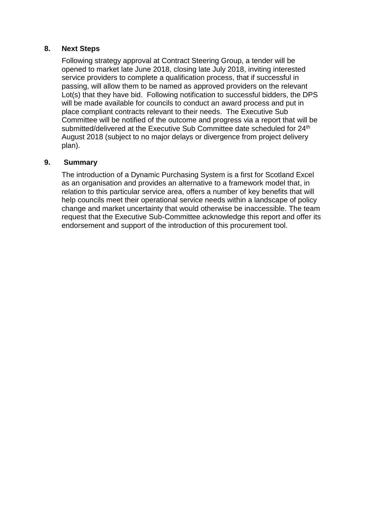#### **8. Next Steps**

Following strategy approval at Contract Steering Group, a tender will be opened to market late June 2018, closing late July 2018, inviting interested service providers to complete a qualification process, that if successful in passing, will allow them to be named as approved providers on the relevant Lot(s) that they have bid. Following notification to successful bidders, the DPS will be made available for councils to conduct an award process and put in place compliant contracts relevant to their needs. The Executive Sub Committee will be notified of the outcome and progress via a report that will be submitted/delivered at the Executive Sub Committee date scheduled for 24<sup>th</sup> August 2018 (subject to no major delays or divergence from project delivery plan).

### **9. Summary**

The introduction of a Dynamic Purchasing System is a first for Scotland Excel as an organisation and provides an alternative to a framework model that, in relation to this particular service area, offers a number of key benefits that will help councils meet their operational service needs within a landscape of policy change and market uncertainty that would otherwise be inaccessible. The team request that the Executive Sub-Committee acknowledge this report and offer its endorsement and support of the introduction of this procurement tool.